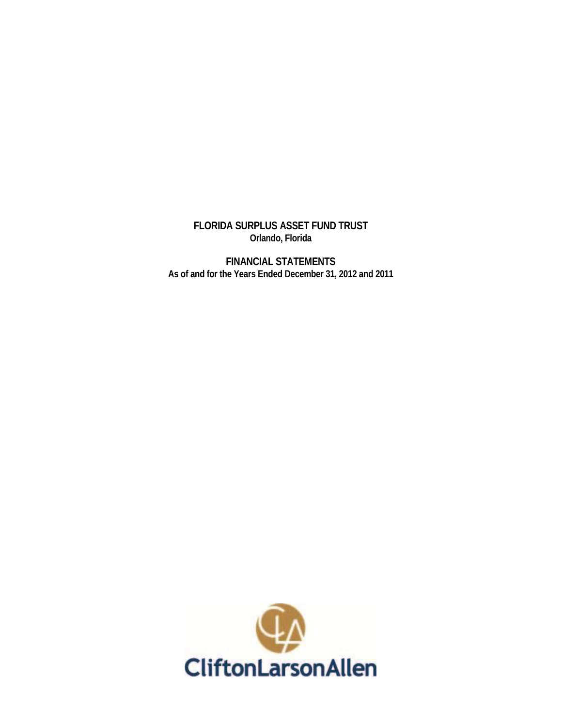**FLORIDA SURPLUS ASSET FUND TRUST Orlando, Florida** 

**FINANCIAL STATEMENTS As of and for the Years Ended December 31, 2012 and 2011** 

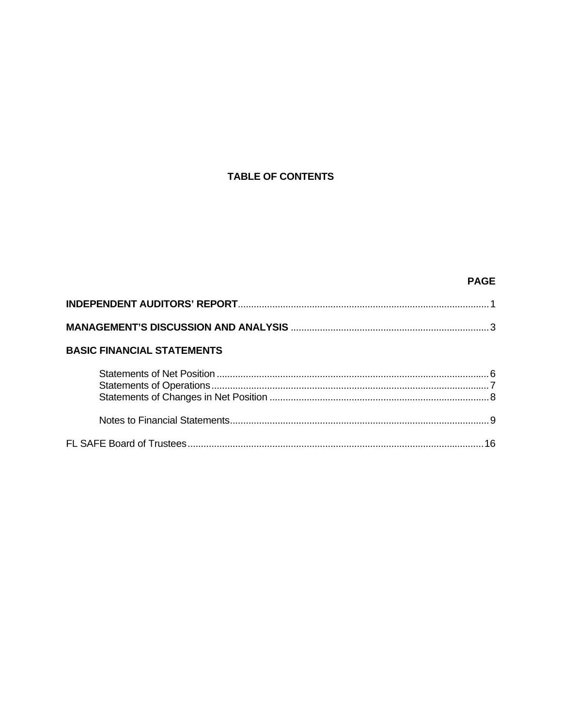# **TABLE OF CONTENTS**

# **PAGE**

| <b>BASIC FINANCIAL STATEMENTS</b> |  |
|-----------------------------------|--|
|                                   |  |
|                                   |  |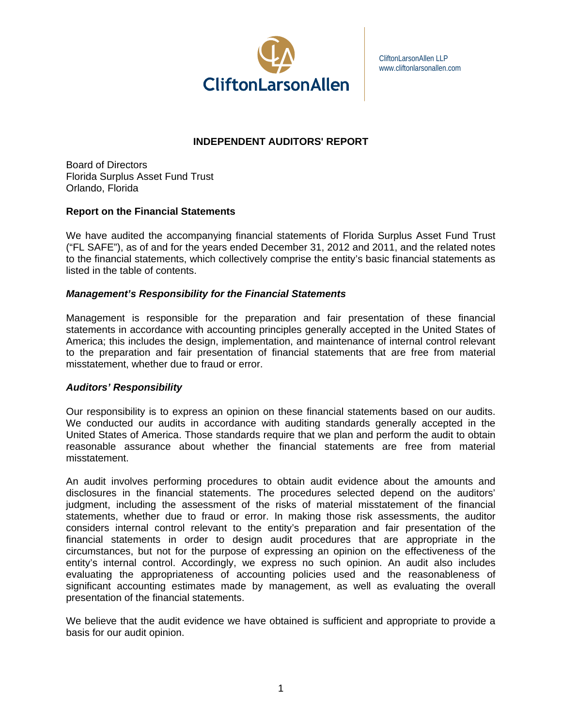

CliftonLarsonAllen LLP www.cliftonlarsonallen.com

## **INDEPENDENT AUDITORS' REPORT**

Board of Directors Florida Surplus Asset Fund Trust Orlando, Florida

### **Report on the Financial Statements**

We have audited the accompanying financial statements of Florida Surplus Asset Fund Trust ("FL SAFE"), as of and for the years ended December 31, 2012 and 2011, and the related notes to the financial statements, which collectively comprise the entity's basic financial statements as listed in the table of contents.

### *Management's Responsibility for the Financial Statements*

Management is responsible for the preparation and fair presentation of these financial statements in accordance with accounting principles generally accepted in the United States of America; this includes the design, implementation, and maintenance of internal control relevant to the preparation and fair presentation of financial statements that are free from material misstatement, whether due to fraud or error.

#### *Auditors' Responsibility*

Our responsibility is to express an opinion on these financial statements based on our audits. We conducted our audits in accordance with auditing standards generally accepted in the United States of America. Those standards require that we plan and perform the audit to obtain reasonable assurance about whether the financial statements are free from material misstatement.

An audit involves performing procedures to obtain audit evidence about the amounts and disclosures in the financial statements. The procedures selected depend on the auditors' judgment, including the assessment of the risks of material misstatement of the financial statements, whether due to fraud or error. In making those risk assessments, the auditor considers internal control relevant to the entity's preparation and fair presentation of the financial statements in order to design audit procedures that are appropriate in the circumstances, but not for the purpose of expressing an opinion on the effectiveness of the entity's internal control. Accordingly, we express no such opinion. An audit also includes evaluating the appropriateness of accounting policies used and the reasonableness of significant accounting estimates made by management, as well as evaluating the overall presentation of the financial statements.

We believe that the audit evidence we have obtained is sufficient and appropriate to provide a basis for our audit opinion.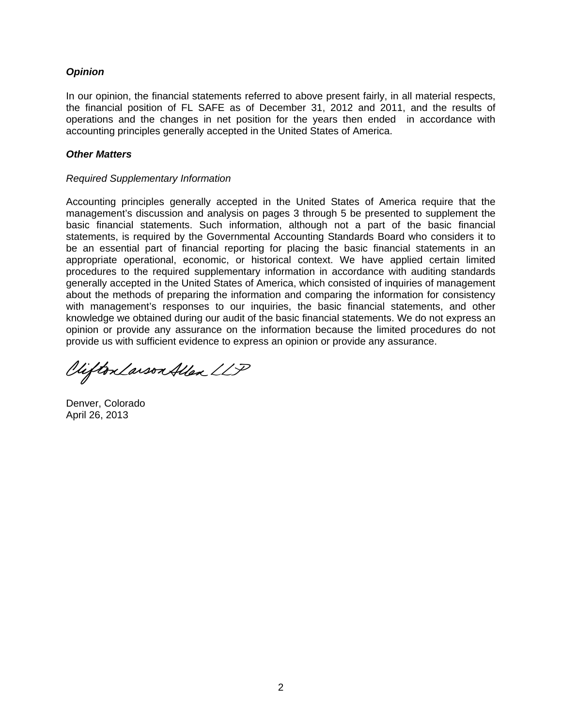## *Opinion*

In our opinion, the financial statements referred to above present fairly, in all material respects, the financial position of FL SAFE as of December 31, 2012 and 2011, and the results of operations and the changes in net position for the years then ended in accordance with accounting principles generally accepted in the United States of America.

## *Other Matters*

#### *Required Supplementary Information*

Accounting principles generally accepted in the United States of America require that the management's discussion and analysis on pages 3 through 5 be presented to supplement the basic financial statements. Such information, although not a part of the basic financial statements, is required by the Governmental Accounting Standards Board who considers it to be an essential part of financial reporting for placing the basic financial statements in an appropriate operational, economic, or historical context. We have applied certain limited procedures to the required supplementary information in accordance with auditing standards generally accepted in the United States of America, which consisted of inquiries of management about the methods of preparing the information and comparing the information for consistency with management's responses to our inquiries, the basic financial statements, and other knowledge we obtained during our audit of the basic financial statements. We do not express an opinion or provide any assurance on the information because the limited procedures do not provide us with sufficient evidence to ex press an opinion or provide any assurance.

Vifton Larson Allen LLP

Denver, Colorado April 26, 2013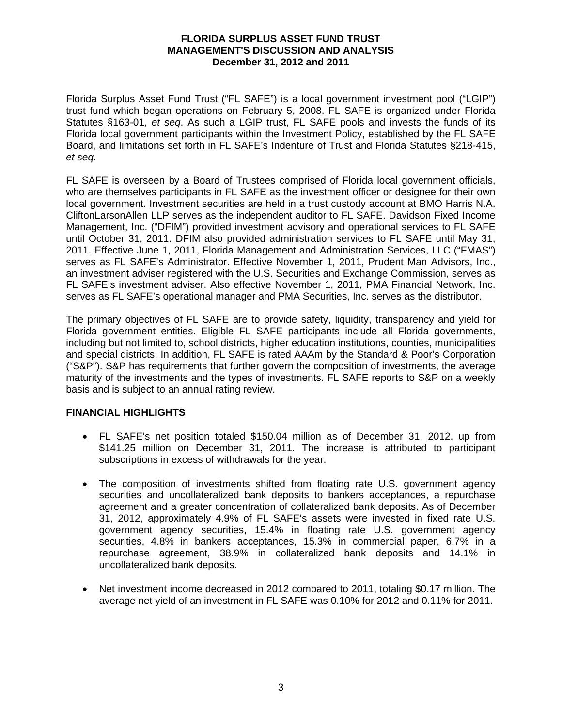#### **FLORIDA SURPLUS ASSET FUND TRUST MANAGEMENT'S DISCUSSION AND ANALYSIS December 31, 2012 and 2011**

Florida Surplus Asset Fund Trust ("FL SAFE") is a local government investment pool ("LGIP") trust fund which began operations on February 5, 2008. FL SAFE is organized under Florida Statutes §163-01, *et seq*. As such a LGIP trust, FL SAFE pools and invests the funds of its Florida local government participants within the Investment Policy, established by the FL SAFE Board, and limitations set forth in FL SAFE's Indenture of Trust and Florida Statutes §218-415, *et seq*.

FL SAFE is overseen by a Board of Trustees comprised of Florida local government officials, who are themselves participants in FL SAFE as the investment officer or designee for their own local government. Investment securities are held in a trust custody account at BMO Harris N.A. CliftonLarsonAllen LLP serves as the independent auditor to FL SAFE. Davidson Fixed Income Management, Inc. ("DFIM") provided investment advisory and operational services to FL SAFE until October 31, 2011. DFIM also provided administration services to FL SAFE until May 31, 2011. Effective June 1, 2011, Florida Management and Administration Services, LLC ("FMAS") serves as FL SAFE's Administrator. Effective November 1, 2011, Prudent Man Advisors, Inc., an investment adviser registered with the U.S. Securities and Exchange Commission, serves as FL SAFE's investment adviser. Also effective November 1, 2011, PMA Financial Network, Inc. serves as FL SAFE's operational manager and PMA Securities, Inc. serves as the distributor.

The primary objectives of FL SAFE are to provide safety, liquidity, transparency and yield for Florida government entities. Eligible FL SAFE participants include all Florida governments, including but not limited to, school districts, higher education institutions, counties, municipalities and special districts. In addition, FL SAFE is rated AAAm by the Standard & Poor's Corporation ("S&P"). S&P has requirements that further govern the composition of investments, the average maturity of the investments and the types of investments. FL SAFE reports to S&P on a weekly basis and is subject to an annual rating review.

## **FINANCIAL HIGHLIGHTS**

- FL SAFE's net position totaled \$150.04 million as of December 31, 2012, up from \$141.25 million on December 31, 2011. The increase is attributed to participant subscriptions in excess of withdrawals for the year.
- The composition of investments shifted from floating rate U.S. government agency securities and uncollateralized bank deposits to bankers acceptances, a repurchase agreement and a greater concentration of collateralized bank deposits. As of December 31, 2012, approximately 4.9% of FL SAFE's assets were invested in fixed rate U.S. government agency securities, 15.4% in floating rate U.S. government agency securities, 4.8% in bankers acceptances, 15.3% in commercial paper, 6.7% in a repurchase agreement, 38.9% in collateralized bank deposits and 14.1% in uncollateralized bank deposits.
- Net investment income decreased in 2012 compared to 2011, totaling \$0.17 million. The average net yield of an investment in FL SAFE was 0.10% for 2012 and 0.11% for 2011.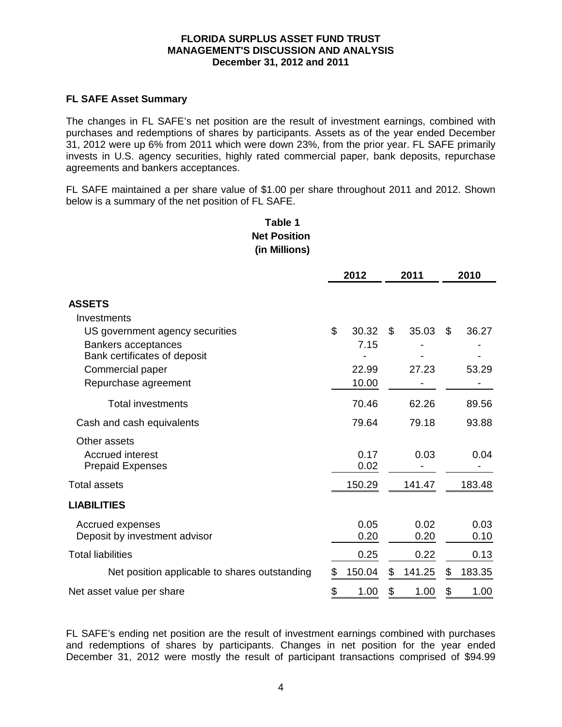#### **FLORIDA SURPLUS ASSET FUND TRUST MANAGEMENT'S DISCUSSION AND ANALYSIS December 31, 2012 and 2011**

### **FL SAFE Asset Summary**

The changes in FL SAFE's net position are the result of investment earnings, combined with purchases and redemptions of shares by participants. Assets as of the year ended December 31, 2012 were up 6% from 2011 which were down 23%, from the prior year. FL SAFE primarily invests in U.S. agency securities, highly rated commercial paper, bank deposits, repurchase agreements and bankers acceptances.

FL SAFE maintained a per share value of \$1.00 per share throughout 2011 and 2012. Shown below is a summary of the net position of FL SAFE.

# **Table 1 Net Position (in Millions)**

|                                                     | 2012         | 2011         | 2010         |
|-----------------------------------------------------|--------------|--------------|--------------|
| <b>ASSETS</b>                                       |              |              |              |
| Investments                                         |              |              |              |
| US government agency securities                     | \$<br>30.32  | \$<br>35.03  | \$<br>36.27  |
| Bankers acceptances<br>Bank certificates of deposit | 7.15         |              |              |
| Commercial paper                                    | 22.99        | 27.23        | 53.29        |
| Repurchase agreement                                | 10.00        |              |              |
| <b>Total investments</b>                            | 70.46        | 62.26        | 89.56        |
| Cash and cash equivalents                           | 79.64        | 79.18        | 93.88        |
| Other assets                                        |              |              |              |
| <b>Accrued interest</b>                             | 0.17         | 0.03         | 0.04         |
| <b>Prepaid Expenses</b>                             | 0.02         |              |              |
| Total assets                                        | 150.29       | 141.47       | 183.48       |
| <b>LIABILITIES</b>                                  |              |              |              |
| Accrued expenses                                    | 0.05         | 0.02         | 0.03         |
| Deposit by investment advisor                       | 0.20         | 0.20         | 0.10         |
| <b>Total liabilities</b>                            | 0.25         | 0.22         | 0.13         |
| Net position applicable to shares outstanding       | \$<br>150.04 | \$<br>141.25 | \$<br>183.35 |
| Net asset value per share                           | \$<br>1.00   | \$<br>1.00   | \$<br>1.00   |

FL SAFE's ending net position are the result of investment earnings combined with purchases and redemptions of shares by participants. Changes in net position for the year ended December 31, 2012 were mostly the result of participant transactions comprised of \$94.99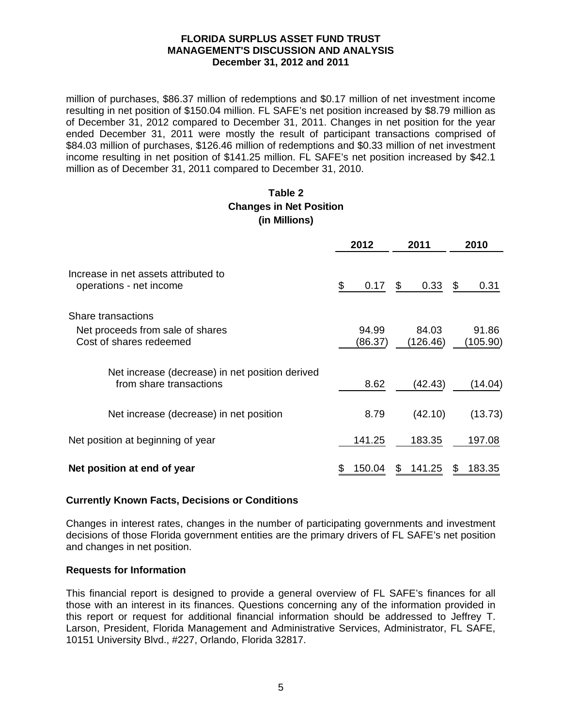#### **FLORIDA SURPLUS ASSET FUND TRUST MANAGEMENT'S DISCUSSION AND ANALYSIS December 31, 2012 and 2011**

million of purchases, \$86.37 million of redemptions and \$0.17 million of net investment income resulting in net position of \$150.04 million. FL SAFE's net position increased by \$8.79 million as of December 31, 2012 compared to December 31, 2011. Changes in net position for the year ended December 31, 2011 were mostly the result of participant transactions comprised of \$84.03 million of purchases, \$126.46 million of redemptions and \$0.33 million of net investment income resulting in net position of \$141.25 million. FL SAFE's net position increased by \$42.1 million as of December 31, 2011 compared to December 31, 2010.

# **Table 2 Changes in Net Position (in Millions)**

|                                                                                   | 2012             | 2011              |    | 2010              |
|-----------------------------------------------------------------------------------|------------------|-------------------|----|-------------------|
| Increase in net assets attributed to<br>operations - net income                   | \$<br>0.17       | \$<br>0.33        | \$ | 0.31              |
| Share transactions<br>Net proceeds from sale of shares<br>Cost of shares redeemed | 94.99<br>(86.37) | 84.03<br>(126.46) |    | 91.86<br>(105.90) |
| Net increase (decrease) in net position derived<br>from share transactions        | 8.62             | (42.43)           |    | (14.04)           |
| Net increase (decrease) in net position                                           | 8.79             | (42.10)           |    | (13.73)           |
| Net position at beginning of year                                                 | 141.25           | 183.35            |    | 197.08            |
| Net position at end of year                                                       | \$<br>150.04     | 141.25            | S  | 183.35            |

## **Currently Known Facts, Decisions or Conditions**

Changes in interest rates, changes in the number of participating governments and investment decisions of those Florida government entities are the primary drivers of FL SAFE's net position and changes in net position.

## **Requests for Information**

This financial report is designed to provide a general overview of FL SAFE's finances for all those with an interest in its finances. Questions concerning any of the information provided in this report or request for additional financial information should be addressed to Jeffrey T. Larson, President, Florida Management and Administrative Services, Administrator, FL SAFE, 10151 University Blvd., #227, Orlando, Florida 32817.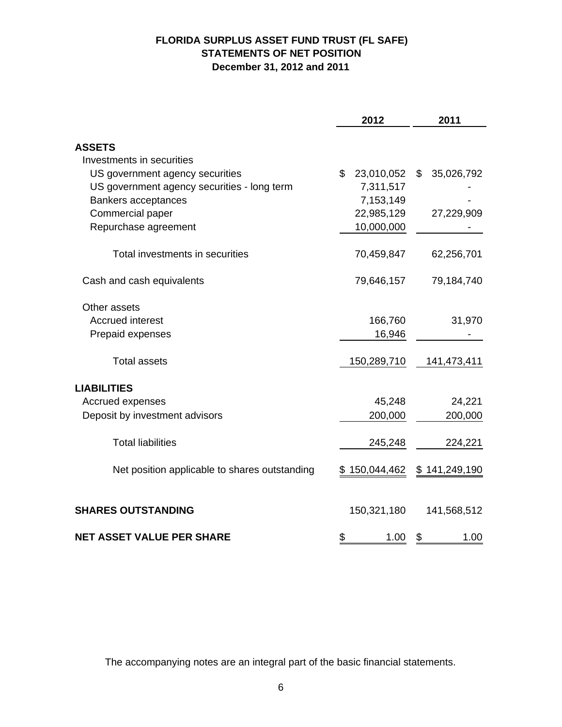# **FLORIDA SURPLUS ASSET FUND TRUST (FL SAFE) STATEMENTS OF NET POSITION December 31, 2012 and 2011**

|                                               | 2012             | 2011             |
|-----------------------------------------------|------------------|------------------|
|                                               |                  |                  |
| <b>ASSETS</b>                                 |                  |                  |
| Investments in securities                     |                  |                  |
| US government agency securities               | \$<br>23,010,052 | \$<br>35,026,792 |
| US government agency securities - long term   | 7,311,517        |                  |
| Bankers acceptances                           | 7,153,149        |                  |
| Commercial paper                              | 22,985,129       | 27,229,909       |
| Repurchase agreement                          | 10,000,000       |                  |
| Total investments in securities               | 70,459,847       | 62,256,701       |
| Cash and cash equivalents                     | 79,646,157       | 79,184,740       |
| Other assets                                  |                  |                  |
| <b>Accrued interest</b>                       | 166,760          | 31,970           |
| Prepaid expenses                              | 16,946           |                  |
| <b>Total assets</b>                           | 150,289,710      | 141,473,411      |
| <b>LIABILITIES</b>                            |                  |                  |
| Accrued expenses                              | 45,248           | 24,221           |
| Deposit by investment advisors                | 200,000          | 200,000          |
| <b>Total liabilities</b>                      | 245,248          | 224,221          |
| Net position applicable to shares outstanding | \$150,044,462    | \$141,249,190    |
| <b>SHARES OUTSTANDING</b>                     | 150,321,180      | 141,568,512      |
| <b>NET ASSET VALUE PER SHARE</b>              | \$<br>1.00       | 1.00<br>\$       |

The accompanying notes are an integral part of the basic financial statements.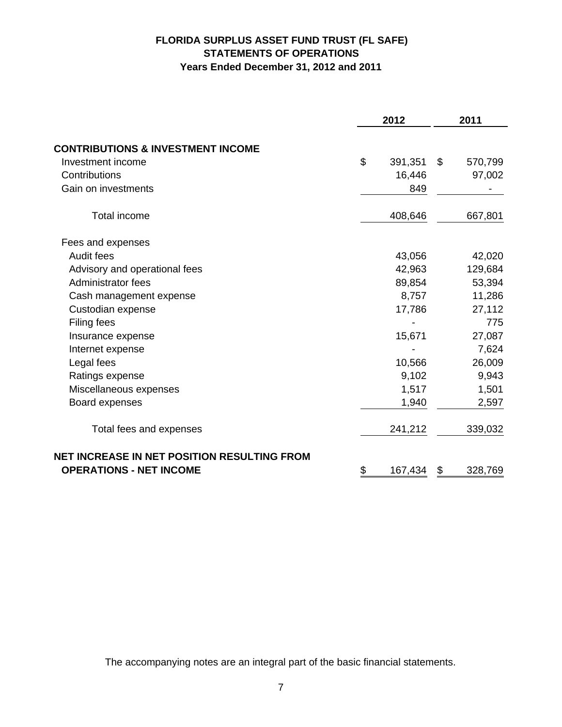# **FLORIDA SURPLUS ASSET FUND TRUST (FL SAFE) STATEMENTS OF OPERATIONS Years Ended December 31, 2012 and 2011**

| <b>CONTRIBUTIONS &amp; INVESTMENT INCOME</b><br>\$<br>Investment income<br>Contributions<br>Gain on investments<br>Total income<br>Fees and expenses<br>Audit fees<br>Advisory and operational fees |         | 2011 |         |  |
|-----------------------------------------------------------------------------------------------------------------------------------------------------------------------------------------------------|---------|------|---------|--|
|                                                                                                                                                                                                     |         |      |         |  |
|                                                                                                                                                                                                     | 391,351 | \$   | 570,799 |  |
|                                                                                                                                                                                                     | 16,446  |      | 97,002  |  |
|                                                                                                                                                                                                     | 849     |      |         |  |
|                                                                                                                                                                                                     | 408,646 |      | 667,801 |  |
|                                                                                                                                                                                                     |         |      |         |  |
|                                                                                                                                                                                                     | 43,056  |      | 42,020  |  |
|                                                                                                                                                                                                     | 42,963  |      | 129,684 |  |
| Administrator fees                                                                                                                                                                                  | 89,854  |      | 53,394  |  |
| Cash management expense                                                                                                                                                                             | 8,757   |      | 11,286  |  |
| Custodian expense                                                                                                                                                                                   | 17,786  |      | 27,112  |  |
| Filing fees                                                                                                                                                                                         |         |      | 775     |  |
| Insurance expense                                                                                                                                                                                   | 15,671  |      | 27,087  |  |
| Internet expense                                                                                                                                                                                    |         |      | 7,624   |  |
| Legal fees                                                                                                                                                                                          | 10,566  |      | 26,009  |  |
| Ratings expense                                                                                                                                                                                     | 9,102   |      | 9,943   |  |
| Miscellaneous expenses                                                                                                                                                                              | 1,517   |      | 1,501   |  |
| Board expenses                                                                                                                                                                                      | 1,940   |      | 2,597   |  |
| Total fees and expenses                                                                                                                                                                             | 241,212 |      | 339,032 |  |
| NET INCREASE IN NET POSITION RESULTING FROM<br><b>OPERATIONS - NET INCOME</b><br>\$                                                                                                                 |         |      |         |  |

The accompanying notes are an integral part of the basic financial statements.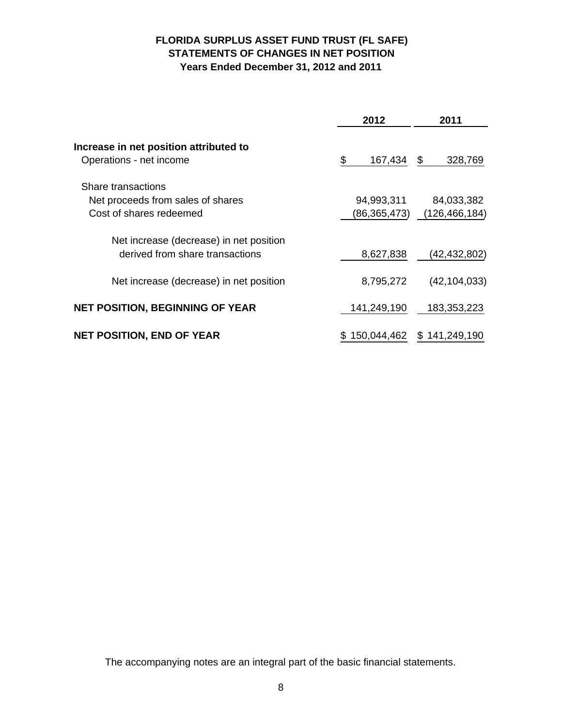# **FLORIDA SURPLUS ASSET FUND TRUST (FL SAFE) STATEMENTS OF CHANGES IN NET POSITION Years Ended December 31, 2012 and 2011**

|                                                                                    | 2012                       | 2011                          |  |  |
|------------------------------------------------------------------------------------|----------------------------|-------------------------------|--|--|
| Increase in net position attributed to<br>Operations - net income                  | \$<br>167,434              | \$<br>328,769                 |  |  |
| Share transactions<br>Net proceeds from sales of shares<br>Cost of shares redeemed | 94,993,311<br>(86,365,473) | 84,033,382<br>(126, 466, 184) |  |  |
| Net increase (decrease) in net position<br>derived from share transactions         | 8,627,838                  | (42, 432, 802)                |  |  |
| Net increase (decrease) in net position                                            | 8,795,272                  | (42, 104, 033)                |  |  |
| <b>NET POSITION, BEGINNING OF YEAR</b>                                             | 141,249,190                | 183,353,223                   |  |  |
| <b>NET POSITION, END OF YEAR</b>                                                   | 150,044,462                | \$141,249,190                 |  |  |

The accompanying notes are an integral part of the basic financial statements.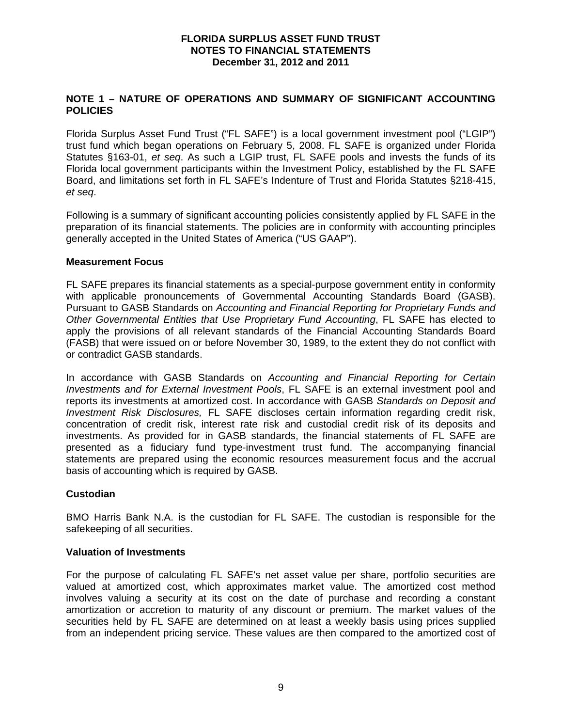## **NOTE 1 – NATURE OF OPERATIONS AND SUMMARY OF SIGNIFICANT ACCOUNTING POLICIES**

Florida Surplus Asset Fund Trust ("FL SAFE") is a local government investment pool ("LGIP") trust fund which began operations on February 5, 2008. FL SAFE is organized under Florida Statutes §163-01, *et seq*. As such a LGIP trust, FL SAFE pools and invests the funds of its Florida local government participants within the Investment Policy, established by the FL SAFE Board, and limitations set forth in FL SAFE's Indenture of Trust and Florida Statutes §218-415, *et seq*.

Following is a summary of significant accounting policies consistently applied by FL SAFE in the preparation of its financial statements. The policies are in conformity with accounting principles generally accepted in the United States of America ("US GAAP").

#### **Measurement Focus**

FL SAFE prepares its financial statements as a special-purpose government entity in conformity with applicable pronouncements of Governmental Accounting Standards Board (GASB). Pursuant to GASB Standards on *Accounting and Financial Reporting for Proprietary Funds and Other Governmental Entities that Use Proprietary Fund Accounting*, FL SAFE has elected to apply the provisions of all relevant standards of the Financial Accounting Standards Board (FASB) that were issued on or before November 30, 1989, to the extent they do not conflict with or contradict GASB standards.

In accordance with GASB Standards on *Accounting and Financial Reporting for Certain Investments and for External Investment Pools*, FL SAFE is an external investment pool and reports its investments at amortized cost. In accordance with GASB *Standards on Deposit and Investment Risk Disclosures,* FL SAFE discloses certain information regarding credit risk, concentration of credit risk, interest rate risk and custodial credit risk of its deposits and investments. As provided for in GASB standards, the financial statements of FL SAFE are presented as a fiduciary fund type-investment trust fund. The accompanying financial statements are prepared using the economic resources measurement focus and the accrual basis of accounting which is required by GASB.

#### **Custodian**

BMO Harris Bank N.A. is the custodian for FL SAFE. The custodian is responsible for the safekeeping of all securities.

#### **Valuation of Investments**

For the purpose of calculating FL SAFE's net asset value per share, portfolio securities are valued at amortized cost, which approximates market value. The amortized cost method involves valuing a security at its cost on the date of purchase and recording a constant amortization or accretion to maturity of any discount or premium. The market values of the securities held by FL SAFE are determined on at least a weekly basis using prices supplied from an independent pricing service. These values are then compared to the amortized cost of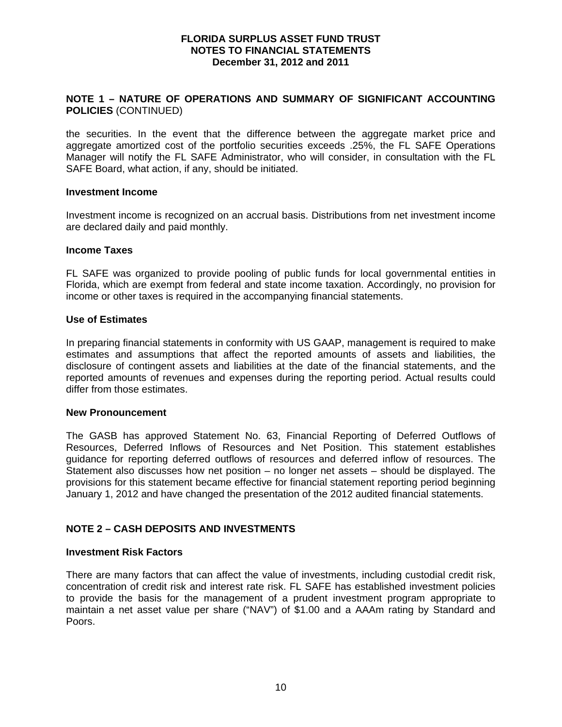## **NOTE 1 – NATURE OF OPERATIONS AND SUMMARY OF SIGNIFICANT ACCOUNTING POLICIES** (CONTINUED)

the securities. In the event that the difference between the aggregate market price and aggregate amortized cost of the portfolio securities exceeds .25%, the FL SAFE Operations Manager will notify the FL SAFE Administrator, who will consider, in consultation with the FL SAFE Board, what action, if any, should be initiated.

#### **Investment Income**

Investment income is recognized on an accrual basis. Distributions from net investment income are declared daily and paid monthly.

#### **Income Taxes**

FL SAFE was organized to provide pooling of public funds for local governmental entities in Florida, which are exempt from federal and state income taxation. Accordingly, no provision for income or other taxes is required in the accompanying financial statements.

#### **Use of Estimates**

In preparing financial statements in conformity with US GAAP, management is required to make estimates and assumptions that affect the reported amounts of assets and liabilities, the disclosure of contingent assets and liabilities at the date of the financial statements, and the reported amounts of revenues and expenses during the reporting period. Actual results could differ from those estimates.

#### **New Pronouncement**

The GASB has approved Statement No. 63, Financial Reporting of Deferred Outflows of Resources, Deferred Inflows of Resources and Net Position. This statement establishes guidance for reporting deferred outflows of resources and deferred inflow of resources. The Statement also discusses how net position – no longer net assets – should be displayed. The provisions for this statement became effective for financial statement reporting period beginning January 1, 2012 and have changed the presentation of the 2012 audited financial statements.

## **NOTE 2 – CASH DEPOSITS AND INVESTMENTS**

#### **Investment Risk Factors**

There are many factors that can affect the value of investments, including custodial credit risk, concentration of credit risk and interest rate risk. FL SAFE has established investment policies to provide the basis for the management of a prudent investment program appropriate to maintain a net asset value per share ("NAV") of \$1.00 and a AAAm rating by Standard and Poors.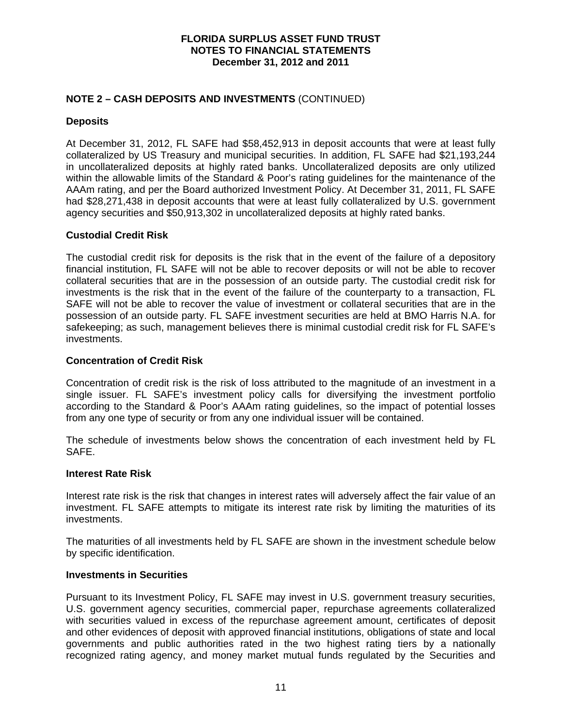## **NOTE 2 – CASH DEPOSITS AND INVESTMENTS** (CONTINUED)

## **Deposits**

At December 31, 2012, FL SAFE had \$58,452,913 in deposit accounts that were at least fully collateralized by US Treasury and municipal securities. In addition, FL SAFE had \$21,193,244 in uncollateralized deposits at highly rated banks. Uncollateralized deposits are only utilized within the allowable limits of the Standard & Poor's rating guidelines for the maintenance of the AAAm rating, and per the Board authorized Investment Policy. At December 31, 2011, FL SAFE had \$28,271,438 in deposit accounts that were at least fully collateralized by U.S. government agency securities and \$50,913,302 in uncollateralized deposits at highly rated banks.

## **Custodial Credit Risk**

The custodial credit risk for deposits is the risk that in the event of the failure of a depository financial institution, FL SAFE will not be able to recover deposits or will not be able to recover collateral securities that are in the possession of an outside party. The custodial credit risk for investments is the risk that in the event of the failure of the counterparty to a transaction, FL SAFE will not be able to recover the value of investment or collateral securities that are in the possession of an outside party. FL SAFE investment securities are held at BMO Harris N.A. for safekeeping; as such, management believes there is minimal custodial credit risk for FL SAFE's investments.

## **Concentration of Credit Risk**

Concentration of credit risk is the risk of loss attributed to the magnitude of an investment in a single issuer. FL SAFE's investment policy calls for diversifying the investment portfolio according to the Standard & Poor's AAAm rating guidelines, so the impact of potential losses from any one type of security or from any one individual issuer will be contained.

The schedule of investments below shows the concentration of each investment held by FL SAFE.

## **Interest Rate Risk**

Interest rate risk is the risk that changes in interest rates will adversely affect the fair value of an investment. FL SAFE attempts to mitigate its interest rate risk by limiting the maturities of its investments.

The maturities of all investments held by FL SAFE are shown in the investment schedule below by specific identification.

## **Investments in Securities**

Pursuant to its Investment Policy, FL SAFE may invest in U.S. government treasury securities, U.S. government agency securities, commercial paper, repurchase agreements collateralized with securities valued in excess of the repurchase agreement amount, certificates of deposit and other evidences of deposit with approved financial institutions, obligations of state and local governments and public authorities rated in the two highest rating tiers by a nationally recognized rating agency, and money market mutual funds regulated by the Securities and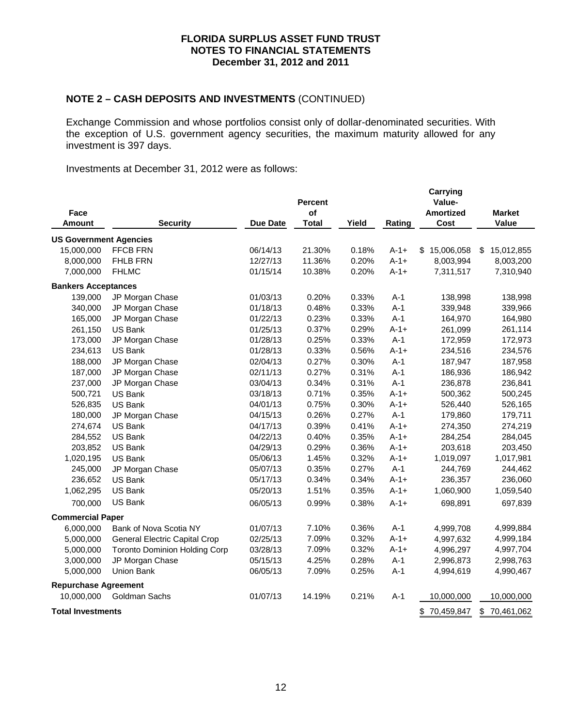# **NOTE 2 – CASH DEPOSITS AND INVESTMENTS** (CONTINUED)

Exchange Commission and whose portfolios consist only of dollar-denominated securities. With the exception of U.S. government agency securities, the maximum maturity allowed for any investment is 397 days.

Investments at December 31, 2012 were as follows:

| Face<br>Amount                | <b>Security</b>                      | <b>Due Date</b> | <b>Percent</b><br>of<br><b>Total</b> | Yield | Rating    | <b>Carrying</b><br>Value-<br><b>Amortized</b><br>Cost | <b>Market</b><br>Value |
|-------------------------------|--------------------------------------|-----------------|--------------------------------------|-------|-----------|-------------------------------------------------------|------------------------|
| <b>US Government Agencies</b> |                                      |                 |                                      |       |           |                                                       |                        |
| 15,000,000                    | FFCB FRN                             | 06/14/13        | 21.30%                               | 0.18% | $A-1+$    | \$15,006,058                                          | 15,012,855<br>-\$      |
| 8,000,000                     | FHLB FRN                             | 12/27/13        | 11.36%                               | 0.20% | $A-1+$    | 8,003,994                                             | 8,003,200              |
| 7,000,000                     | <b>FHLMC</b>                         | 01/15/14        | 10.38%                               | 0.20% | $A-1+$    | 7,311,517                                             | 7,310,940              |
| <b>Bankers Acceptances</b>    |                                      |                 |                                      |       |           |                                                       |                        |
| 139,000                       | JP Morgan Chase                      | 01/03/13        | 0.20%                                | 0.33% | $A-1$     | 138,998                                               | 138,998                |
| 340,000                       | JP Morgan Chase                      | 01/18/13        | 0.48%                                | 0.33% | $A-1$     | 339,948                                               | 339,966                |
| 165,000                       | JP Morgan Chase                      | 01/22/13        | 0.23%                                | 0.33% | $A-1$     | 164,970                                               | 164,980                |
| 261,150                       | <b>US Bank</b>                       | 01/25/13        | 0.37%                                | 0.29% | $A-1+$    | 261,099                                               | 261,114                |
| 173,000                       | JP Morgan Chase                      | 01/28/13        | 0.25%                                | 0.33% | $A-1$     | 172,959                                               | 172,973                |
| 234,613                       | <b>US Bank</b>                       | 01/28/13        | 0.33%                                | 0.56% | $A-1+$    | 234,516                                               | 234,576                |
| 188,000                       | JP Morgan Chase                      | 02/04/13        | 0.27%                                | 0.30% | $A-1$     | 187,947                                               | 187,958                |
| 187,000                       | JP Morgan Chase                      | 02/11/13        | 0.27%                                | 0.31% | $A-1$     | 186,936                                               | 186,942                |
| 237,000                       | JP Morgan Chase                      | 03/04/13        | 0.34%                                | 0.31% | $A-1$     | 236,878                                               | 236,841                |
| 500,721                       | US Bank                              | 03/18/13        | 0.71%                                | 0.35% | $A-1+$    | 500,362                                               | 500,245                |
| 526,835                       | <b>US Bank</b>                       | 04/01/13        | 0.75%                                | 0.30% | $A-1+$    | 526,440                                               | 526,165                |
| 180,000                       | JP Morgan Chase                      | 04/15/13        | 0.26%                                | 0.27% | $A-1$     | 179,860                                               | 179,711                |
| 274,674                       | <b>US Bank</b>                       | 04/17/13        | 0.39%                                | 0.41% | $A-1+$    | 274,350                                               | 274,219                |
| 284,552                       | US Bank                              | 04/22/13        | 0.40%                                | 0.35% | $A-1+$    | 284,254                                               | 284,045                |
| 203,852                       | <b>US Bank</b>                       | 04/29/13        | 0.29%                                | 0.36% | $A-1+$    | 203,618                                               | 203,450                |
| 1,020,195                     | US Bank                              | 05/06/13        | 1.45%                                | 0.32% | $A-1+$    | 1,019,097                                             | 1,017,981              |
| 245,000                       | JP Morgan Chase                      | 05/07/13        | 0.35%                                | 0.27% | $A-1$     | 244,769                                               | 244,462                |
| 236,652                       | US Bank                              | 05/17/13        | 0.34%                                | 0.34% | $A-1+$    | 236,357                                               | 236,060                |
| 1,062,295                     | US Bank                              | 05/20/13        | 1.51%                                | 0.35% | $A-1+$    | 1,060,900                                             | 1,059,540              |
| 700,000                       | US Bank                              | 06/05/13        | 0.99%                                | 0.38% | $A-1+$    | 698,891                                               | 697,839                |
| <b>Commercial Paper</b>       |                                      |                 |                                      |       |           |                                                       |                        |
| 6,000,000                     | Bank of Nova Scotia NY               | 01/07/13        | 7.10%                                | 0.36% | $A-1$     | 4,999,708                                             | 4,999,884              |
| 5,000,000                     | General Electric Capital Crop        | 02/25/13        | 7.09%                                | 0.32% | $A-1+$    | 4,997,632                                             | 4,999,184              |
| 5,000,000                     | <b>Toronto Dominion Holding Corp</b> | 03/28/13        | 7.09%                                | 0.32% | $A - 1 +$ | 4,996,297                                             | 4,997,704              |
| 3,000,000                     | JP Morgan Chase                      | 05/15/13        | 4.25%                                | 0.28% | $A-1$     | 2,996,873                                             | 2,998,763              |
| 5,000,000                     | Union Bank                           | 06/05/13        | 7.09%                                | 0.25% | $A-1$     | 4,994,619                                             | 4,990,467              |
| <b>Repurchase Agreement</b>   |                                      |                 |                                      |       |           |                                                       |                        |
| 10,000,000                    | Goldman Sachs                        | 01/07/13        | 14.19%                               | 0.21% | $A-1$     | 10,000,000                                            | 10,000,000             |
| <b>Total Investments</b>      |                                      |                 |                                      |       |           | \$70,459,847                                          | \$<br>70,461,062       |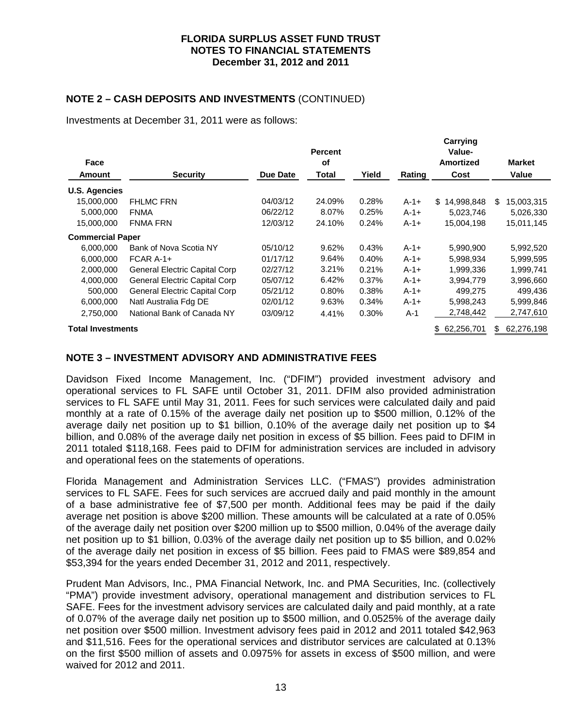## **NOTE 2 – CASH DEPOSITS AND INVESTMENTS** (CONTINUED)

Investments at December 31, 2011 were as follows:

| Face                     |                                      |          | <b>Percent</b><br>οf |       |        | Carrying<br>Value-<br>Amortized | <b>Market</b>     |
|--------------------------|--------------------------------------|----------|----------------------|-------|--------|---------------------------------|-------------------|
| Amount                   | <b>Security</b>                      | Due Date | Total                | Yield | Rating | Cost                            | Value             |
| <b>U.S. Agencies</b>     |                                      |          |                      |       |        |                                 |                   |
| 15,000,000               | <b>FHLMC FRN</b>                     | 04/03/12 | 24.09%               | 0.28% | $A-1+$ | 14,998,848<br>\$                | 15,003,315<br>\$. |
| 5,000,000                | <b>FNMA</b>                          | 06/22/12 | 8.07%                | 0.25% | $A-1+$ | 5,023,746                       | 5,026,330         |
| 15,000,000               | <b>FNMA FRN</b>                      | 12/03/12 | 24.10%               | 0.24% | $A-1+$ | 15,004,198                      | 15,011,145        |
| <b>Commercial Paper</b>  |                                      |          |                      |       |        |                                 |                   |
| 6,000,000                | Bank of Nova Scotia NY               | 05/10/12 | 9.62%                | 0.43% | $A-1+$ | 5,990,900                       | 5,992,520         |
| 6,000,000                | FCAR A-1+                            | 01/17/12 | 9.64%                | 0.40% | $A-1+$ | 5,998,934                       | 5,999,595         |
| 2,000,000                | <b>General Electric Capital Corp</b> | 02/27/12 | 3.21%                | 0.21% | $A-1+$ | 1,999,336                       | 1,999,741         |
| 4,000,000                | <b>General Electric Capital Corp</b> | 05/07/12 | 6.42%                | 0.37% | $A-1+$ | 3,994,779                       | 3,996,660         |
| 500,000                  | <b>General Electric Capital Corp</b> | 05/21/12 | 0.80%                | 0.38% | $A-1+$ | 499.275                         | 499,436           |
| 6,000,000                | Natl Australia Fdg DE                | 02/01/12 | 9.63%                | 0.34% | $A-1+$ | 5,998,243                       | 5,999,846         |
| 2,750,000                | National Bank of Canada NY           | 03/09/12 | 4.41%                | 0.30% | $A-1$  | 2,748,442                       | 2,747,610         |
| <b>Total Investments</b> |                                      |          |                      |       |        | 62,256,701<br>S.                | 62,276,198<br>\$  |

## **NOTE 3 – INVESTMENT ADVISORY AND ADMINISTRATIVE FEES**

Davidson Fixed Income Management, Inc. ("DFIM") provided investment advisory and operational services to FL SAFE until October 31, 2011. DFIM also provided administration services to FL SAFE until May 31, 2011. Fees for such services were calculated daily and paid monthly at a rate of 0.15% of the average daily net position up to \$500 million, 0.12% of the average daily net position up to \$1 billion, 0.10% of the average daily net position up to \$4 billion, and 0.08% of the average daily net position in excess of \$5 billion. Fees paid to DFIM in 2011 totaled \$118,168. Fees paid to DFIM for administration services are included in advisory and operational fees on the statements of operations.

Florida Management and Administration Services LLC. ("FMAS") provides administration services to FL SAFE. Fees for such services are accrued daily and paid monthly in the amount of a base administrative fee of \$7,500 per month. Additional fees may be paid if the daily average net position is above \$200 million. These amounts will be calculated at a rate of 0.05% of the average daily net position over \$200 million up to \$500 million, 0.04% of the average daily net position up to \$1 billion, 0.03% of the average daily net position up to \$5 billion, and 0.02% of the average daily net position in excess of \$5 billion. Fees paid to FMAS were \$89,854 and \$53,394 for the years ended December 31, 2012 and 2011, respectively.

Prudent Man Advisors, Inc., PMA Financial Network, Inc. and PMA Securities, Inc. (collectively "PMA") provide investment advisory, operational management and distribution services to FL SAFE. Fees for the investment advisory services are calculated daily and paid monthly, at a rate of 0.07% of the average daily net position up to \$500 million, and 0.0525% of the average daily net position over \$500 million. Investment advisory fees paid in 2012 and 2011 totaled \$42,963 and \$11,516. Fees for the operational services and distributor services are calculated at 0.13% on the first \$500 million of assets and 0.0975% for assets in excess of \$500 million, and were waived for 2012 and 2011.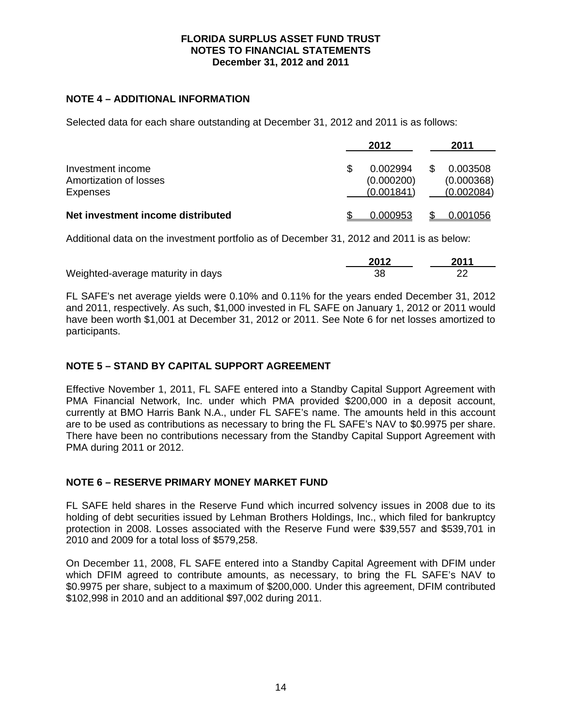## **NOTE 4 – ADDITIONAL INFORMATION**

Selected data for each share outstanding at December 31, 2012 and 2011 is as follows:

|                                                         | 2012                                 | 2011                                 |
|---------------------------------------------------------|--------------------------------------|--------------------------------------|
| Investment income<br>Amortization of losses<br>Expenses | 0.002994<br>(0.000200)<br>(0.001841) | 0.003508<br>(0.000368)<br>(0.002084) |
| Net investment income distributed                       | 0.000953                             | 0.001056                             |

Additional data on the investment portfolio as of December 31, 2012 and 2011 is as below:

|                                   | 2012 | 2011 |
|-----------------------------------|------|------|
| Weighted-average maturity in days |      |      |

FL SAFE's net average yields were 0.10% and 0.11% for the years ended December 31, 2012 and 2011, respectively. As such, \$1,000 invested in FL SAFE on January 1, 2012 or 2011 would have been worth \$1,001 at December 31, 2012 or 2011. See Note 6 for net losses amortized to participants.

## **NOTE 5 – STAND BY CAPITAL SUPPORT AGREEMENT**

Effective November 1, 2011, FL SAFE entered into a Standby Capital Support Agreement with PMA Financial Network, Inc. under which PMA provided \$200,000 in a deposit account, currently at BMO Harris Bank N.A., under FL SAFE's name. The amounts held in this account are to be used as contributions as necessary to bring the FL SAFE's NAV to \$0.9975 per share. There have been no contributions necessary from the Standby Capital Support Agreement with PMA during 2011 or 2012.

## **NOTE 6 – RESERVE PRIMARY MONEY MARKET FUND**

FL SAFE held shares in the Reserve Fund which incurred solvency issues in 2008 due to its holding of debt securities issued by Lehman Brothers Holdings, Inc., which filed for bankruptcy protection in 2008. Losses associated with the Reserve Fund were \$39,557 and \$539,701 in 2010 and 2009 for a total loss of \$579,258.

On December 11, 2008, FL SAFE entered into a Standby Capital Agreement with DFIM under which DFIM agreed to contribute amounts, as necessary, to bring the FL SAFE's NAV to \$0.9975 per share, subject to a maximum of \$200,000. Under this agreement, DFIM contributed \$102,998 in 2010 and an additional \$97,002 during 2011.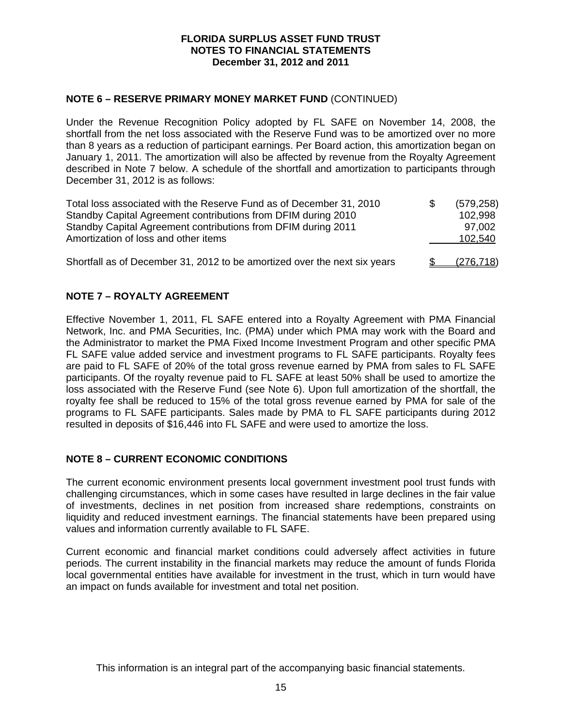## **NOTE 6 – RESERVE PRIMARY MONEY MARKET FUND** (CONTINUED)

Under the Revenue Recognition Policy adopted by FL SAFE on November 14, 2008, the shortfall from the net loss associated with the Reserve Fund was to be amortized over no more than 8 years as a reduction of participant earnings. Per Board action, this amortization began on January 1, 2011. The amortization will also be affected by revenue from the Royalty Agreement described in Note 7 below. A schedule of the shortfall and amortization to participants through December 31, 2012 is as follows:

| Total loss associated with the Reserve Fund as of December 31, 2010<br>Standby Capital Agreement contributions from DFIM during 2010 | - \$ | (579, 258)<br>102,998 |
|--------------------------------------------------------------------------------------------------------------------------------------|------|-----------------------|
| Standby Capital Agreement contributions from DFIM during 2011<br>Amortization of loss and other items                                |      | 97,002<br>102,540     |
| Shortfall as of December 31, 2012 to be amortized over the next six years                                                            |      | (276, 718)            |

## **NOTE 7 – ROYALTY AGREEMENT**

Effective November 1, 2011, FL SAFE entered into a Royalty Agreement with PMA Financial Network, Inc. and PMA Securities, Inc. (PMA) under which PMA may work with the Board and the Administrator to market the PMA Fixed Income Investment Program and other specific PMA FL SAFE value added service and investment programs to FL SAFE participants. Royalty fees are paid to FL SAFE of 20% of the total gross revenue earned by PMA from sales to FL SAFE participants. Of the royalty revenue paid to FL SAFE at least 50% shall be used to amortize the loss associated with the Reserve Fund (see Note 6). Upon full amortization of the shortfall, the royalty fee shall be reduced to 15% of the total gross revenue earned by PMA for sale of the programs to FL SAFE participants. Sales made by PMA to FL SAFE participants during 2012 resulted in deposits of \$16,446 into FL SAFE and were used to amortize the loss.

## **NOTE 8 – CURRENT ECONOMIC CONDITIONS**

The current economic environment presents local government investment pool trust funds with challenging circumstances, which in some cases have resulted in large declines in the fair value of investments, declines in net position from increased share redemptions, constraints on liquidity and reduced investment earnings. The financial statements have been prepared using values and information currently available to FL SAFE.

Current economic and financial market conditions could adversely affect activities in future periods. The current instability in the financial markets may reduce the amount of funds Florida local governmental entities have available for investment in the trust, which in turn would have an impact on funds available for investment and total net position.

This information is an integral part of the accompanying basic financial statements.